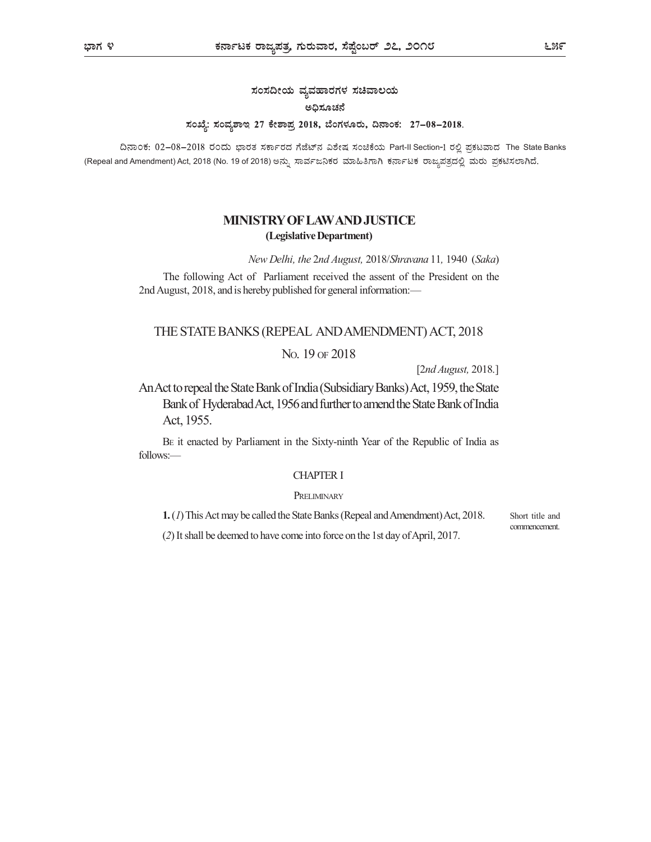# ಸಂಸದೀಯ ವ್ಯವಹಾರಗಳ ಸಚಿವಾಲಯ ಅಧಿಸೂಚನೆ ಸಂಖ್ಯೆ: ಸಂವ್ಯಶಾಇ 27 ಕೇಶಾಪ್ರ 2018, ಬೆಂಗಳೂರು, ದಿನಾಂಕ: 27-08-2018.

ದಿನಾಂಕ: 02-08-2018 ರಂದು ಭಾರತ ಸರ್ಕಾರದ ಗೆಜೆಟ್ ನವಿಶೇಷ ಸಂಚಿಕೆಯ Part-II Section-1 ರಲ್ಲಿ ಪ್ರಕಟವಾದ The State Banks (Repeal and Amendment) Act, 2018 (No. 19 of 2018)

# MINISTRY OF LAW AND JUSTICE (Legislative Department)

New Delhi, the 2nd August, 2018/Shravana 11, 1940 (Saka)

The following Act of Parliament received the assent of the President on the 2nd August, 2018, and is hereby published for general information:—

## THE STATE BANKS (REPEAL AND AMENDMENT) ACT, 2018

#### NO. 19 OF 2018

[2nd August, 2018.]

An Act to repeal the State Bank of India (Subsidiary Banks) Act, 1959, the State Bank of Hyderabad Act, 1956 and further to amend the State Bank of India Act, 1955.

BE it enacted by Parliament in the Sixty-ninth Year of the Republic of India as follows:—

## CHAPTER I

#### **PRELIMINARY**

1. (1) This Act may be called the State Banks (Repeal and Amendment) Act, 2018.

(2) It shall be deemed to have come into force on the 1st day of April, 2017.

Short title and commencement.